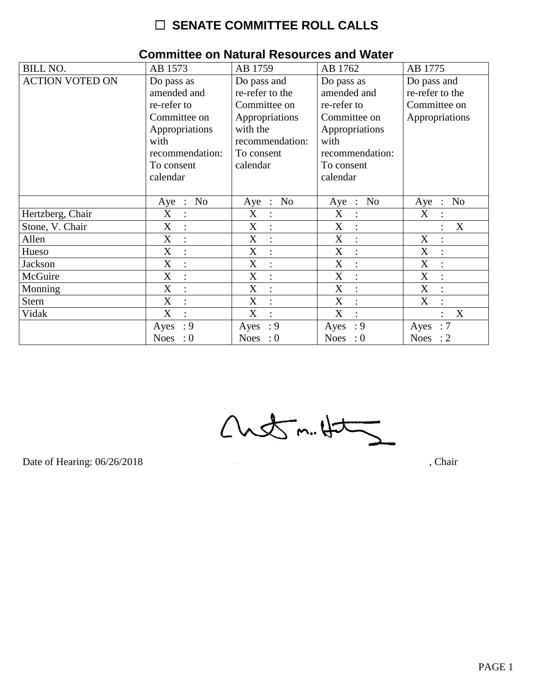| <b>BILL NO.</b>        | AB 1573                                     | AB 1759                            | AB 1762                       | AB 1775                     |
|------------------------|---------------------------------------------|------------------------------------|-------------------------------|-----------------------------|
| <b>ACTION VOTED ON</b> | Do pass as                                  | Do pass and                        | Do pass as                    | Do pass and                 |
|                        | amended and                                 | re-refer to the                    | amended and                   | re-refer to the             |
|                        | re-refer to                                 | Committee on                       | re-refer to                   | Committee on                |
|                        | Committee on                                | Appropriations                     | Committee on                  | Appropriations              |
|                        |                                             | with the                           |                               |                             |
|                        | Appropriations                              |                                    | Appropriations                |                             |
|                        | with                                        | recommendation:                    | with                          |                             |
|                        | recommendation:                             | To consent                         | recommendation:               |                             |
|                        | To consent                                  | calendar                           | To consent                    |                             |
|                        | calendar                                    |                                    | calendar                      |                             |
|                        |                                             |                                    |                               |                             |
|                        | N <sub>o</sub><br>$Aye$ :                   | N <sub>o</sub><br>$Aye$ :          | No<br>$Aye$ :                 | N <sub>o</sub><br>Aye :     |
| Hertzberg, Chair       | X<br>$\ddot{\cdot}$                         | X<br>$\ddot{\cdot}$                | X                             | X                           |
| Stone, V. Chair        | X<br>$\ddot{\cdot}$                         | X<br>$\ddot{\cdot}$                | X                             | X                           |
| Allen                  | X<br>$\ddot{\cdot}$                         | $\mathbf X$<br>$\ddot{\cdot}$      | X<br>$\ddot{\cdot}$           | X                           |
| Hueso                  | X<br>$\overline{\mathcal{C}}$               | X<br>$\ddot{\cdot}$                | X<br>$\overline{\mathcal{C}}$ | $\boldsymbol{X}$<br>$\cdot$ |
| <b>Jackson</b>         | X<br>$\ddot{\cdot}$                         | $\boldsymbol{X}$<br>$\ddot{\cdot}$ | X<br>$\ddot{\cdot}$           | $\boldsymbol{\mathrm{X}}$   |
| McGuire                | $\boldsymbol{\mathrm{X}}$<br>$\ddot{\cdot}$ | X<br>$\ddot{\phantom{a}}$          | X                             | $\boldsymbol{\mathrm{X}}$   |
| Monning                | $\mathbf X$<br>$\cdot$                      | X<br>$\ddot{\cdot}$                | X<br>÷                        | $\mathbf X$<br>$\cdot$      |
| <b>Stern</b>           | X<br>$\ddot{\cdot}$                         | X<br>$\ddot{\cdot}$                | X                             | X                           |
| Vidak                  | X<br>$\ddot{\cdot}$                         | X<br>$\ddot{\cdot}$                | X                             | X                           |
|                        | : 9<br>Ayes                                 | : 9<br>Ayes                        | : 9<br>Ayes                   | :7<br>Ayes                  |
|                        | Noes : $0$                                  | Noes : $0$                         | Noes : $0$                    | Noes : $2$                  |

### **Committee on Natural Resources and Water**

 $Custm.4t5$ 

Date of Hearing: 06/26/2018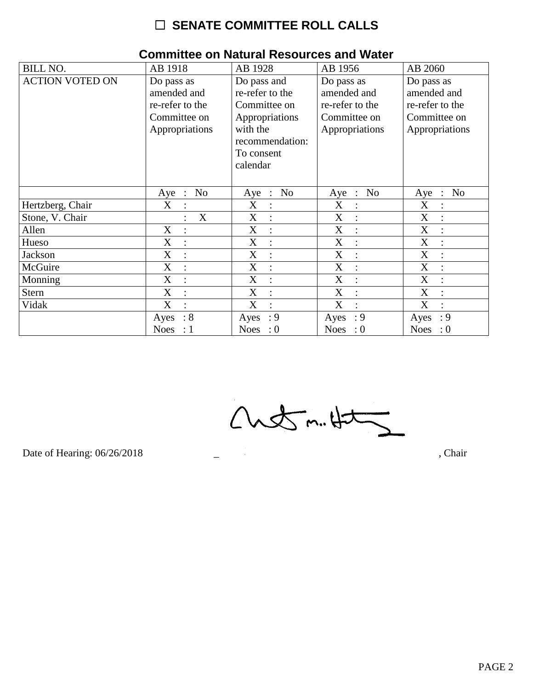| <b>BILL NO.</b>        | AB 1918                             | AB 1928                | AB 1956                   | AB 2060                            |
|------------------------|-------------------------------------|------------------------|---------------------------|------------------------------------|
| <b>ACTION VOTED ON</b> | Do pass as                          | Do pass and            | Do pass as                | Do pass as                         |
|                        | amended and                         | re-refer to the        | amended and               | amended and                        |
|                        | re-refer to the                     | Committee on           | re-refer to the           | re-refer to the                    |
|                        | Committee on                        | Appropriations         | Committee on              | Committee on                       |
|                        | Appropriations                      | with the               | Appropriations            | Appropriations                     |
|                        |                                     | recommendation:        |                           |                                    |
|                        |                                     | To consent             |                           |                                    |
|                        |                                     | calendar               |                           |                                    |
|                        |                                     |                        |                           |                                    |
|                        | No<br>Aye<br>$\ddot{\phantom{1}}$ : | No<br>Aye<br>$\sim$ 1. | No<br>Aye<br>$\therefore$ | N <sub>o</sub><br>Aye<br>$\cdot$ : |
| Hertzberg, Chair       | X                                   | X                      | X<br>$\ddot{\cdot}$       | X                                  |
| Stone, V. Chair        | X                                   | X                      | X                         | X                                  |
| Allen                  | X                                   | X                      | X<br>$\ddot{\cdot}$       | X                                  |
| Hueso                  | X                                   | X                      | X<br>$\ddot{\cdot}$       | X                                  |
| Jackson                | X                                   | X                      | X                         | X                                  |
| McGuire                | X<br>$\overline{\cdot}$             | X<br>$\bullet$         | X<br>$\cdot$              | X                                  |
| Monning                | X                                   | X                      | X                         | X                                  |
| <b>Stern</b>           | X                                   | X                      | X                         | X                                  |
| Vidak                  | X                                   | X<br>$\bullet$         | X                         | X                                  |
|                        | $\therefore 8$<br>Ayes              | : 9<br>Ayes            | $\cdot$ 9<br>Ayes         | : 9<br>Ayes                        |
|                        | Noes : $1$                          | Noes : $0$             | Noes : $0$                | Noes : $0$                         |

### **Committee on Natural Resources and Water**

 $Custm.4t5$ 

Date of Hearing: 06/26/2018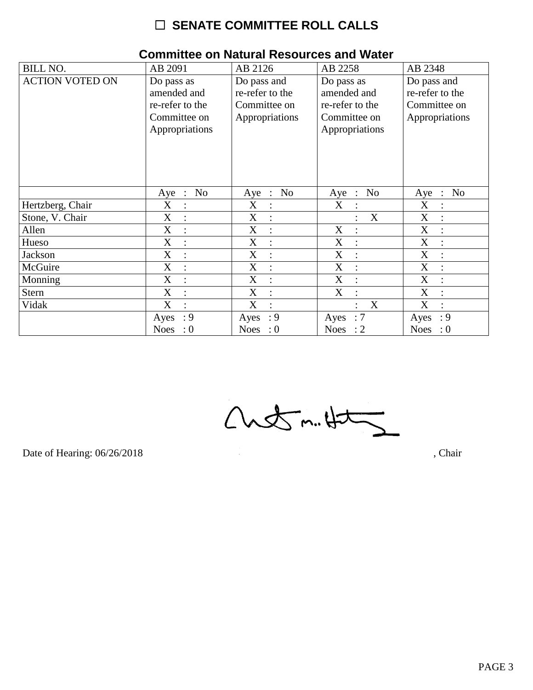| <b>BILL NO.</b>        | AB 2091                             | AB 2126                       | AB 2258                                 | AB 2348                                 |
|------------------------|-------------------------------------|-------------------------------|-----------------------------------------|-----------------------------------------|
| <b>ACTION VOTED ON</b> | Do pass as                          | Do pass and                   | Do pass as                              | Do pass and                             |
|                        | amended and                         | re-refer to the               | amended and                             | re-refer to the                         |
|                        | re-refer to the                     | Committee on                  | re-refer to the                         | Committee on                            |
|                        | Committee on                        | Appropriations                | Committee on                            | Appropriations                          |
|                        | Appropriations                      |                               | Appropriations                          |                                         |
|                        |                                     |                               |                                         |                                         |
|                        |                                     |                               |                                         |                                         |
|                        |                                     |                               |                                         |                                         |
|                        |                                     |                               |                                         |                                         |
|                        |                                     |                               |                                         |                                         |
|                        | No<br>Aye<br>$\ddot{\phantom{1}}$ : | No<br>Aye :                   | N <sub>o</sub><br>Aye<br>$\mathbb{R}^2$ | N <sub>o</sub><br>Aye<br>$\ddot{\cdot}$ |
| Hertzberg, Chair       | X<br>:                              | $\mathbf X$<br>$\ddot{\cdot}$ | X                                       | $\mathbf X$                             |
| Stone, V. Chair        | X                                   | X<br>$\ddot{\phantom{a}}$     | X                                       | X                                       |
| Allen                  | X<br>$\ddot{\cdot}$                 | X<br>$\ddot{\cdot}$           | X<br>$\ddot{\cdot}$                     | X<br>$\ddot{\cdot}$                     |
| Hueso                  | X<br>$\vdots$                       | X<br>$\ddot{\cdot}$           | X<br>$\ddot{\cdot}$                     | X                                       |
| Jackson                | X                                   | X<br>$\ddot{\cdot}$           | X                                       | X                                       |
| McGuire                | X<br>$\ddot{\cdot}$                 | X<br>$\ddot{\cdot}$           | X<br>$\ddot{\cdot}$                     | X<br>$\ddot{\cdot}$                     |
| Monning                | X<br>$\ddot{\cdot}$                 | X<br>$\ddot{\cdot}$           | X<br>$\ddot{\cdot}$                     | X                                       |
| <b>Stern</b>           | X                                   | X<br>$\ddot{\cdot}$           | X                                       | X                                       |
| Vidak                  | X<br>$\ddot{\cdot}$                 | X<br>$\ddot{\cdot}$           | X                                       | $\boldsymbol{\mathrm{X}}$<br>$\bullet$  |
|                        | : 9<br>Ayes                         | : 9<br>Ayes                   | Ayes : $7$                              | : 9<br>Ayes                             |
|                        | Noes : $0$                          | Noes : $0$                    | Noes : $2$                              | <b>Noes</b><br>$\therefore 0$           |

### **Committee on Natural Resources and Water**

 $Custm.4t5$ 

Date of Hearing: 06/26/2018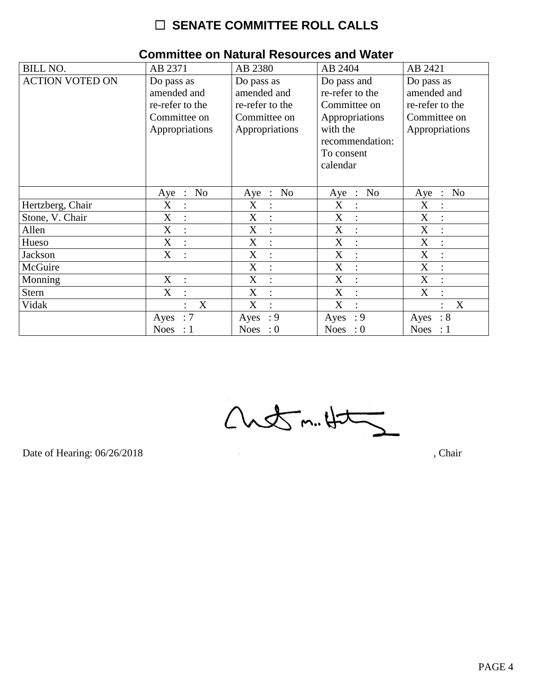| <b>BILL NO.</b>        | AB 2371                                         | AB 2380                    | AB 2404                            | AB 2421                                 |
|------------------------|-------------------------------------------------|----------------------------|------------------------------------|-----------------------------------------|
| <b>ACTION VOTED ON</b> | Do pass as                                      | Do pass as                 | Do pass and                        | Do pass as                              |
|                        | amended and                                     | amended and                | re-refer to the                    | amended and                             |
|                        | re-refer to the                                 | re-refer to the            | Committee on                       | re-refer to the                         |
|                        | Committee on                                    | Committee on               | Appropriations                     | Committee on                            |
|                        | Appropriations                                  | Appropriations             | with the                           | Appropriations                          |
|                        |                                                 |                            | recommendation:                    |                                         |
|                        |                                                 |                            | To consent                         |                                         |
|                        |                                                 |                            | calendar                           |                                         |
|                        |                                                 |                            |                                    |                                         |
|                        | N <sub>o</sub><br>Aye<br>$\ddot{\phantom{1}}$ : | No<br>Aye<br>$\sim$ $\sim$ | N <sub>o</sub><br>Aye<br>$\cdot$ : | N <sub>o</sub><br>Aye<br>$\ddot{\cdot}$ |
| Hertzberg, Chair       | X<br>$\vdots$                                   | X<br>$\ddot{\cdot}$        | X                                  | X                                       |
| Stone, V. Chair        | X<br>$\ddot{\cdot}$                             | X<br>$\ddot{\cdot}$        | X                                  | X                                       |
| Allen                  | X<br>$\ddot{\cdot}$                             | X<br>$\ddot{ }$            | X<br>$\dot{\mathbb{I}}$            | X<br>$\ddot{\cdot}$                     |
| Hueso                  | X<br>$\ddot{\cdot}$                             | X<br>$\ddot{\cdot}$        | X<br>$\vdots$                      | X                                       |
| Jackson                | X<br>$\ddot{\cdot}$                             | X<br>$\ddot{\cdot}$        | X<br>$\ddot{\cdot}$                | X                                       |
| McGuire                |                                                 | X<br>$\ddot{\cdot}$        | X<br>$\ddot{\cdot}$                | X                                       |
| Monning                | X                                               | X<br>$\ddot{\cdot}$        | X                                  | $\boldsymbol{X}$                        |
| <b>Stern</b>           | $\boldsymbol{\mathrm{X}}$                       | X<br>$\ddot{\cdot}$        | X                                  | $\boldsymbol{\mathrm{X}}$               |
| Vidak                  | X                                               | X<br>$\ddot{\cdot}$        | X<br>٠                             | X                                       |
|                        | $\therefore$ 7<br>Ayes                          | : 9<br>Ayes                | : 9<br>Ayes                        | $\therefore 8$<br>Ayes                  |
|                        | Noes : $1$                                      | Noes : $0$                 | Noes : $0$                         | Noes : $1$                              |

### **Committee on Natural Resources and Water**

 $Custm.4t\overline{2}$ 

Date of Hearing: 06/26/2018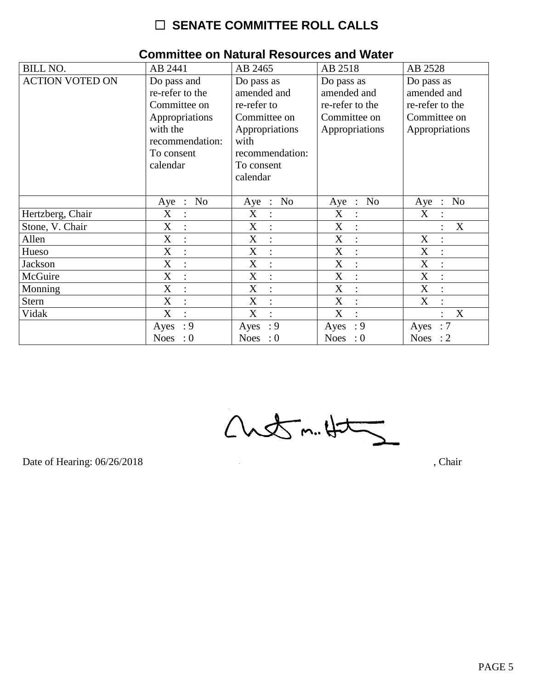| <b>BILL NO.</b>        | AB 2441                                     | AB 2465                   | AB 2518                   | AB 2528                   |
|------------------------|---------------------------------------------|---------------------------|---------------------------|---------------------------|
| <b>ACTION VOTED ON</b> | Do pass and<br>re-refer to the              | Do pass as<br>amended and | Do pass as<br>amended and | Do pass as<br>amended and |
|                        | Committee on                                | re-refer to               | re-refer to the           | re-refer to the           |
|                        | Appropriations                              | Committee on              | Committee on              | Committee on              |
|                        | with the                                    | Appropriations            | Appropriations            | Appropriations            |
|                        | recommendation:                             | with                      |                           |                           |
|                        | To consent                                  | recommendation:           |                           |                           |
|                        | calendar                                    | To consent                |                           |                           |
|                        |                                             | calendar                  |                           |                           |
|                        | N <sub>o</sub><br>$Aye$ :                   | N <sub>o</sub><br>$Aye$ : | N <sub>o</sub><br>Aye :   | N <sub>o</sub><br>Aye :   |
| Hertzberg, Chair       | X<br>$\ddot{\cdot}$                         | X<br>$\ddot{\cdot}$       | X<br>$\ddot{\cdot}$       | X                         |
| Stone, V. Chair        | X                                           | X                         | X                         | X                         |
| Allen                  | X<br>$\ddot{\cdot}$                         | X<br>$\ddot{\cdot}$       | X<br>$\ddot{\phantom{a}}$ | $\boldsymbol{X}$          |
| Hueso                  | X<br>$\cdot$                                | X<br>$\cdot$              | X<br>$\bullet$            | X<br>$\bullet$            |
| <b>Jackson</b>         | $\mathbf X$<br>$\ddot{\cdot}$               | X<br>$\ddot{\cdot}$       | X<br>$\ddot{\cdot}$       | X                         |
| McGuire                | $\boldsymbol{\mathrm{X}}$<br>$\ddot{\cdot}$ | X<br>$\ddot{\cdot}$       | X                         | X                         |
| Monning                | X<br>$\ddot{\cdot}$                         | X<br>$\ddot{\cdot}$       | X<br>$\ddot{\cdot}$       | X<br>$\ddot{\cdot}$       |
| <b>Stern</b>           | X<br>$\ddot{\cdot}$                         | X<br>$\ddot{\cdot}$       | X<br>$\ddot{\cdot}$       | X                         |
| Vidak                  | $\boldsymbol{X}$<br>$\bullet$               | X<br>$\ddot{\cdot}$       | X<br>$\ddot{\cdot}$       | X                         |
|                        | : 9<br>Ayes                                 | : 9<br>Ayes               | : 9<br>Ayes               | :7<br>Ayes                |
|                        | Noes : $0$                                  | Noes : $0$                | Noes : $0$                | Noes : $2$                |

### **Committee on Natural Resources and Water**

 $Custm.4t\overline{2}$ 

Date of Hearing: 06/26/2018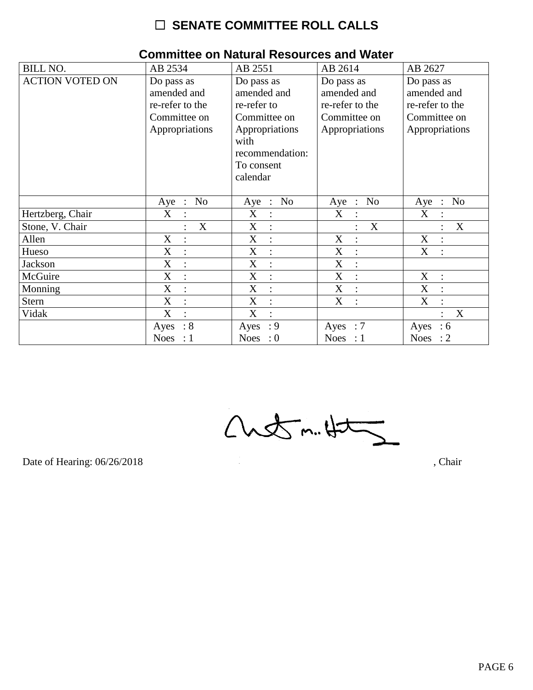| <b>BILL NO.</b>        | AB 2534                                                                        | AB 2551                                                                                                                         | AB 2614                                                                        | AB 2627                                                                        |
|------------------------|--------------------------------------------------------------------------------|---------------------------------------------------------------------------------------------------------------------------------|--------------------------------------------------------------------------------|--------------------------------------------------------------------------------|
| <b>ACTION VOTED ON</b> | Do pass as<br>amended and<br>re-refer to the<br>Committee on<br>Appropriations | Do pass as<br>amended and<br>re-refer to<br>Committee on<br>Appropriations<br>with<br>recommendation:<br>To consent<br>calendar | Do pass as<br>amended and<br>re-refer to the<br>Committee on<br>Appropriations | Do pass as<br>amended and<br>re-refer to the<br>Committee on<br>Appropriations |
|                        | N <sub>o</sub><br>Aye :                                                        | <b>No</b><br>Aye :                                                                                                              | N <sub>0</sub><br>$Aye$ :                                                      | N <sub>o</sub><br>Aye<br>$\mathbb{R}^2$                                        |
| Hertzberg, Chair       | X<br>$\bullet$                                                                 | X<br>$\ddot{\cdot}$                                                                                                             | X                                                                              | X                                                                              |
| Stone, V. Chair        | X                                                                              | X<br>$\ddot{\cdot}$                                                                                                             | X                                                                              | X                                                                              |
| Allen                  | X<br>$\ddot{\cdot}$                                                            | X<br>$\ddot{\cdot}$                                                                                                             | $\boldsymbol{\mathrm{X}}$                                                      | $\boldsymbol{\mathrm{X}}$                                                      |
| Hueso                  | X<br>$\bullet$                                                                 | X<br>$\ddot{\cdot}$                                                                                                             | X<br>$\cdot$                                                                   | X<br>$\bullet$                                                                 |
| Jackson                | X<br>$\ddot{\cdot}$                                                            | X<br>$\ddot{\cdot}$                                                                                                             | X<br>$\ddot{\cdot}$                                                            |                                                                                |
| McGuire                | X                                                                              | X<br>$\ddot{\cdot}$                                                                                                             | X                                                                              | $\boldsymbol{X}$                                                               |
| Monning                | X<br>$\ddot{\cdot}$                                                            | X<br>$\ddot{\cdot}$                                                                                                             | X<br>$\ddot{\cdot}$                                                            | X<br>$\ddot{\cdot}$                                                            |
| <b>Stern</b>           | X<br>$\ddot{\cdot}$                                                            | X<br>$\ddot{\cdot}$                                                                                                             | X<br>$\ddot{\cdot}$                                                            | X                                                                              |
| Vidak                  | $\boldsymbol{X}$<br>$\bullet$                                                  | X<br>$\bullet$                                                                                                                  |                                                                                | X                                                                              |
|                        | :8<br>Ayes                                                                     | : 9<br>Ayes                                                                                                                     | Ayes : $7$                                                                     | Ayes<br>:6                                                                     |
|                        | Noes : $1$                                                                     | Noes : $0$                                                                                                                      | Noes : $1$                                                                     | Noes : $2$                                                                     |

### **Committee on Natural Resources and Water**

 $Custm.4t\overline{2}$ 

Date of Hearing: 06/26/2018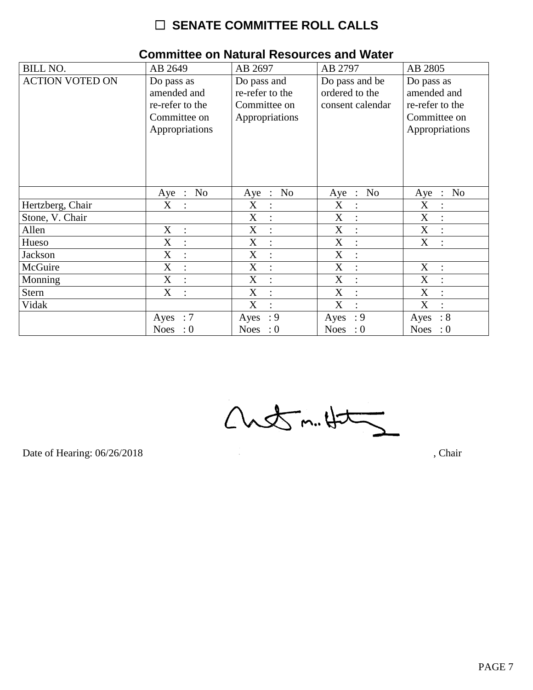| <b>BILL NO.</b>        | AB 2649                                                                        | AB 2697                                                          | AB 2797                                              | AB 2805                                                                        |
|------------------------|--------------------------------------------------------------------------------|------------------------------------------------------------------|------------------------------------------------------|--------------------------------------------------------------------------------|
| <b>ACTION VOTED ON</b> | Do pass as<br>amended and<br>re-refer to the<br>Committee on<br>Appropriations | Do pass and<br>re-refer to the<br>Committee on<br>Appropriations | Do pass and be<br>ordered to the<br>consent calendar | Do pass as<br>amended and<br>re-refer to the<br>Committee on<br>Appropriations |
|                        | N <sub>o</sub><br>$Aye$ :                                                      | N <sub>o</sub><br>Aye<br>$\cdot$ :                               | N <sub>o</sub><br>Aye<br>$\mathbb{R}^2$              | N <sub>o</sub><br>Aye<br>$\ddot{\cdot}$                                        |
| Hertzberg, Chair       | X                                                                              | X<br>$\ddot{\cdot}$                                              | X                                                    | X                                                                              |
| Stone, V. Chair        |                                                                                | X<br>$\ddot{\cdot}$                                              | X                                                    | X                                                                              |
| Allen                  | X<br>$\therefore$                                                              | X<br>$\ddot{\cdot}$                                              | X<br>$\ddot{\cdot}$                                  | X<br>$\ddot{\cdot}$                                                            |
| Hueso                  | $\boldsymbol{X}$<br>$\ddot{\cdot}$                                             | X<br>$\ddot{\cdot}$                                              | X<br>$\ddot{\cdot}$                                  | X                                                                              |
| Jackson                | $\mathbf X$<br>$\colon$                                                        | X<br>$\ddot{\cdot}$                                              | X                                                    |                                                                                |
| McGuire                | $\mathbf X$<br>$\ddot{\cdot}$                                                  | X<br>$\ddot{\cdot}$                                              | X<br>$\ddot{\cdot}$                                  | X<br>$\cdot$                                                                   |
| Monning                | $\boldsymbol{X}$<br>$\ddot{\cdot}$                                             | X<br>$\ddot{\cdot}$                                              | X<br>$\vdots$                                        | X                                                                              |
| <b>Stern</b>           | X<br>$\ddot{\cdot}$                                                            | X<br>$\ddot{\cdot}$                                              | X<br>$\ddot{\cdot}$                                  | X                                                                              |
| Vidak                  |                                                                                | X<br>$\overline{\mathcal{C}}$                                    | X<br>$\bullet$                                       | X<br>$\bullet$                                                                 |
|                        | $\therefore 7$<br>Ayes                                                         | : 9<br>Ayes                                                      | $\cdot$ 9<br>Ayes                                    | $\therefore 8$<br>Ayes                                                         |
|                        | Noes : $0$                                                                     | Noes : $0$                                                       | Noes : $0$                                           | Noes : $0$                                                                     |

#### **Committee on Natural Resources and Water**

 $Custm.4t5$ 

Date of Hearing: 06/26/2018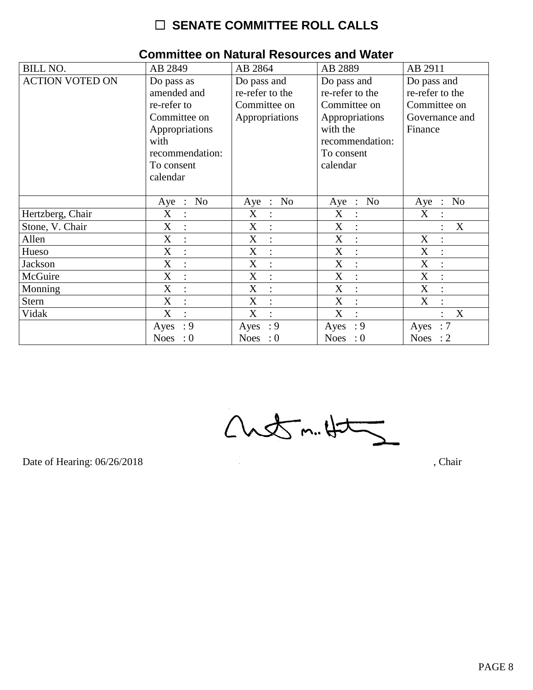| <b>BILL NO.</b>        | AB 2849                                                                                                                         | AB 2864                                                          | AB 2889                                                                                                                   | AB 2911                                                                     |
|------------------------|---------------------------------------------------------------------------------------------------------------------------------|------------------------------------------------------------------|---------------------------------------------------------------------------------------------------------------------------|-----------------------------------------------------------------------------|
| <b>ACTION VOTED ON</b> | Do pass as<br>amended and<br>re-refer to<br>Committee on<br>Appropriations<br>with<br>recommendation:<br>To consent<br>calendar | Do pass and<br>re-refer to the<br>Committee on<br>Appropriations | Do pass and<br>re-refer to the<br>Committee on<br>Appropriations<br>with the<br>recommendation:<br>To consent<br>calendar | Do pass and<br>re-refer to the<br>Committee on<br>Governance and<br>Finance |
|                        | N <sub>o</sub><br>$Aye$ :                                                                                                       | N <sub>0</sub><br>Aye :                                          | N <sub>o</sub><br>Aye :                                                                                                   | N <sub>o</sub><br>Aye :                                                     |
| Hertzberg, Chair       | X<br>$\ddot{\cdot}$                                                                                                             | X<br>$\ddot{\cdot}$                                              | X<br>$\ddot{\cdot}$                                                                                                       | X<br>$\bullet$                                                              |
| Stone, V. Chair        | X                                                                                                                               | X<br>$\vdots$                                                    | X                                                                                                                         | X                                                                           |
| Allen                  | $\boldsymbol{\mathrm{X}}$<br>$\ddot{\cdot}$                                                                                     | X<br>$\ddot{\cdot}$                                              | X<br>$\ddot{\cdot}$                                                                                                       | X                                                                           |
| Hueso                  | X<br>$\ddot{\cdot}$                                                                                                             | X<br>$\ddot{\cdot}$                                              | X                                                                                                                         | X                                                                           |
| Jackson                | X<br>$\ddot{\cdot}$                                                                                                             | X<br>$\vdots$                                                    | X                                                                                                                         | X                                                                           |
| McGuire                | X                                                                                                                               | X<br>$\ddot{\cdot}$                                              | X                                                                                                                         | X                                                                           |
| Monning                | X<br>$\ddot{\cdot}$                                                                                                             | X<br>$\ddot{\cdot}$                                              | X<br>$\ddot{\cdot}$                                                                                                       | X                                                                           |
| <b>Stern</b>           | X                                                                                                                               | X<br>$\ddot{\cdot}$                                              | X                                                                                                                         | X                                                                           |
| Vidak                  | X<br>$\bullet$                                                                                                                  | X<br>$\bullet$                                                   | X<br>$\bullet$                                                                                                            | X                                                                           |
|                        | : 9<br>Ayes                                                                                                                     | : 9<br>Ayes                                                      | $\cdot$ 9<br>Ayes                                                                                                         | :7<br>Ayes                                                                  |
|                        | Noes : $0$                                                                                                                      | Noes : $0$                                                       | Noes : $0$                                                                                                                | Noes : $2$                                                                  |

#### **Committee on Natural Resources and Water**

 $Custm.4t\overline{2}$ 

Date of Hearing: 06/26/2018